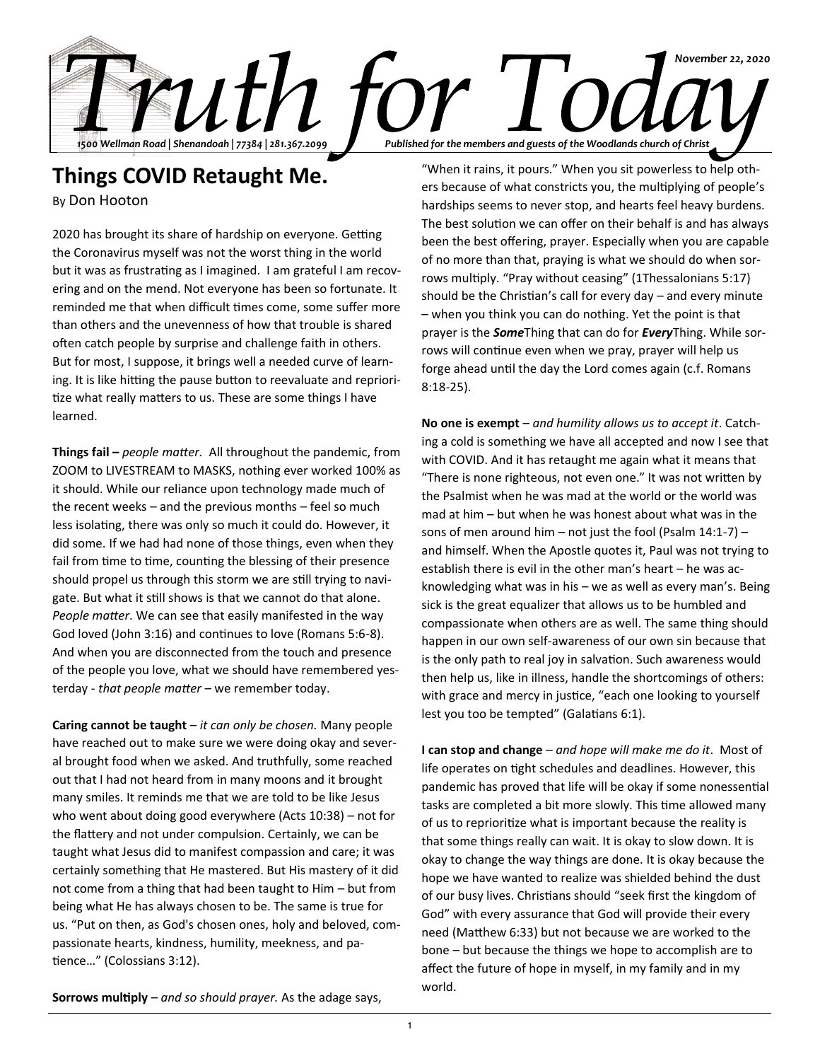

## **Things COVID Retaught Me.**

By Don Hooton

2020 has brought its share of hardship on everyone. Getting the Coronavirus myself was not the worst thing in the world but it was as frustrating as I imagined. I am grateful I am recovering and on the mend. Not everyone has been so fortunate. It reminded me that when difficult times come, some suffer more than others and the unevenness of how that trouble is shared often catch people by surprise and challenge faith in others. But for most, I suppose, it brings well a needed curve of learning. It is like hitting the pause button to reevaluate and reprioritize what really matters to us. These are some things I have learned.

**Things fail –** *people matter.*All throughout the pandemic, from ZOOM to LIVESTREAM to MASKS, nothing ever worked 100% as it should. While our reliance upon technology made much of the recent weeks – and the previous months – feel so much less isolating, there was only so much it could do. However, it did some. If we had had none of those things, even when they fail from time to time, counting the blessing of their presence should propel us through this storm we are still trying to navigate. But what it still shows is that we cannot do that alone. *People matter*. We can see that easily manifested in the way God loved (John 3:16) and continues to love (Romans 5:6-8). And when you are disconnected from the touch and presence of the people you love, what we should have remembered yesterday - *that people matter* – we remember today.

**Caring cannot be taught** – *it can only be chosen.* Many people have reached out to make sure we were doing okay and several brought food when we asked. And truthfully, some reached out that I had not heard from in many moons and it brought many smiles. It reminds me that we are told to be like Jesus who went about doing good everywhere (Acts 10:38) – not for the flattery and not under compulsion. Certainly, we can be taught what Jesus did to manifest compassion and care; it was certainly something that He mastered. But His mastery of it did not come from a thing that had been taught to Him – but from being what He has always chosen to be. The same is true for us. "Put on then, as God's chosen ones, holy and beloved, compassionate hearts, kindness, humility, meekness, and patience…" (Colossians 3:12).

"When it rains, it pours." When you sit powerless to help others because of what constricts you, the multiplying of people's hardships seems to never stop, and hearts feel heavy burdens. The best solution we can offer on their behalf is and has always been the best offering, prayer. Especially when you are capable of no more than that, praying is what we should do when sorrows multiply. "Pray without ceasing" (1Thessalonians 5:17) should be the Christian's call for every day – and every minute – when you think you can do nothing. Yet the point is that prayer is the *Some*Thing that can do for *Every*Thing. While sorrows will continue even when we pray, prayer will help us forge ahead until the day the Lord comes again (c.f. Romans 8:18-25).

**No one is exempt** – *and humility allows us to accept it*. Catching a cold is something we have all accepted and now I see that with COVID. And it has retaught me again what it means that "There is none righteous, not even one." It was not written by the Psalmist when he was mad at the world or the world was mad at him – but when he was honest about what was in the sons of men around him – not just the fool (Psalm  $14:1-7$ ) – and himself. When the Apostle quotes it, Paul was not trying to establish there is evil in the other man's heart – he was acknowledging what was in his – we as well as every man's. Being sick is the great equalizer that allows us to be humbled and compassionate when others are as well. The same thing should happen in our own self-awareness of our own sin because that is the only path to real joy in salvation. Such awareness would then help us, like in illness, handle the shortcomings of others: with grace and mercy in justice, "each one looking to yourself lest you too be tempted" (Galatians 6:1).

**I can stop and change** – *and hope will make me do it*. Most of life operates on tight schedules and deadlines. However, this pandemic has proved that life will be okay if some nonessential tasks are completed a bit more slowly. This time allowed many of us to reprioritize what is important because the reality is that some things really can wait. It is okay to slow down. It is okay to change the way things are done. It is okay because the hope we have wanted to realize was shielded behind the dust of our busy lives. Christians should "seek first the kingdom of God" with every assurance that God will provide their every need (Matthew 6:33) but not because we are worked to the bone – but because the things we hope to accomplish are to affect the future of hope in myself, in my family and in my world.

**Sorrows multiply** *– and so should prayer.* As the adage says,